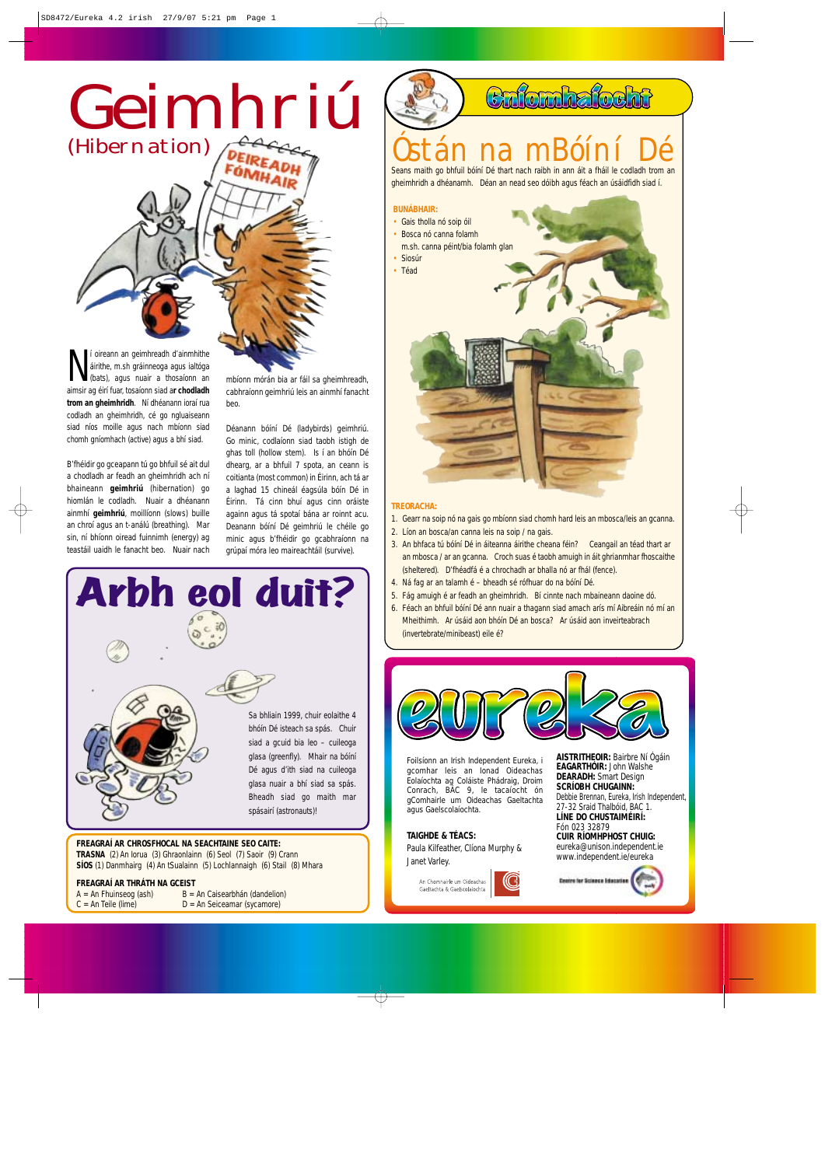## Geimhriú (Hibernation)

**N** i oireann an geimhreadh d'ainmhithe airithe, m.sh gráinneoga agus ialtóga (bats), agus nuair a thosaíonn an aimsir ag éirí fuar, tosaíonn siad ar chodladh í oireann an geimhreadh d'ainmhithe áirithe, m.sh gráinneoga agus ialtóga (bats), agus nuair a thosaíonn an **trom an gheimhridh**. Ní dhéanann ioraí rua codladh an gheimhridh, cé go ngluaiseann siad níos moille agus nach mbíonn siad chomh gníomhach (active) agus a bhí siad.

B'fhéidir go gceapann tú go bhfuil sé ait dul a chodladh ar feadh an gheimhridh ach ní bhaineann **geimhriú** (hibernation) go hiomlán le codladh. Nuair a dhéanann ainmhí **geimhriú**, moillíonn (slows) buille an chroí agus an t-análú (breathing). Mar sin, ní bhíonn oiread fuinnimh (energy) ag teastáil uaidh le fanacht beo. Nuair nach mbíonn mórán bia ar fáil sa gheimhreadh, cabhraíonn geimhriú leis an ainmhí fanacht beo.

Déanann bóíní Dé (ladybirds) geimhriú. Go minic, codlaíonn siad taobh istigh de ghas toll (hollow stem). Is í an bhóín Dé dhearg, ar a bhfuil 7 spota, an ceann is coitianta (most common) in Éirinn, ach tá ar a laghad 15 chineál éagsúla bóín Dé in Éirinn. Tá cinn bhuí agus cinn oráiste againn agus tá spotaí bána ar roinnt acu. Deanann bóíní Dé geimhriú le chéile go minic agus b'fhéidir go gcabhraíonn na grúpaí móra leo maireachtáil (survive).

## Óstán na mBóíní Dé

Caforahafocht

Seans maith go bhfuil bóíní Dé thart nach raibh in ann áit a fháil le codladh trom an gheimhridh a dhéanamh. Déan an nead seo dóibh agus féach an úsáidfidh siad í.

#### **TREORACHA:**

- 1. Gearr na soip nó na gais go mbíonn siad chomh hard leis an mbosca/leis an gcanna.
- 2. Líon an bosca/an canna leis na soip / na gais.
- 3. An bhfaca tú bóíní Dé in áiteanna áirithe cheana féin? Ceangail an téad thart ar an mbosca / ar an gcanna. Croch suas é taobh amuigh in áit ghrianmhar fhoscaithe (sheltered). D'fhéadfá é a chrochadh ar bhalla nó ar fhál (fence).
- 4. Ná fag ar an talamh é bheadh sé rófhuar do na bóíní Dé.
- 5. Fág amuigh é ar feadh an gheimhridh. Bí cinnte nach mbaineann daoine dó.
- 6. Féach an bhfuil bóíní Dé ann nuair a thagann siad amach arís mí Aibreáin nó mí an Mheithimh. Ar úsáid aon bhóín Dé an bosca? Ar úsáid aon inveirteabrach (invertebrate/minibeast) eile é?



#### **BUNÁBHAIR:**

- Gais tholla nó soip óil
- Bosca nó canna folamh
- m.sh. canna péint/bia folamh glan **Siosúr**
- Téad



#### **TRASNA** (2) An Iorua (3) Ghraonlainn (6) Seol (7) Saoir (9) Crann **SÍOS** (1) Danmhairg (4) An tSualainn (5) Lochlannaigh (6) Stail (8) Mhara

#### **FREAGRAÍ AR THRÁTH NA GCEIST**

 $A = An Fhuinseog (ash)$   $B = An Caisearbhán (dandelion)$  $C = An$  Teile (lime)  $D = An$  Seiceamar (sycamore)



**TAIGHDE & TÉACS:** Paula Kilfeather, Clíona Murphy & Janet Varley.



**AISTRITHEOIR:** Bairbre Ní Ógáin **EAGARTHÓIR:** John Walshe **DEARADH:** Smart Design **SCRÍOBH CHUGAINN:** Debbie Brennan, Eureka, Irish Independent, 27-32 Sraid Thalbóid, BAC 1. **LÍNE DO CHUSTAIMÉIRÍ:** Fón 023 32879

**CUIR RÍOMHPHOST CHUIG:** eureka@unison.independent.ie www.independent.ie/eureka



Foilsíonn an Irish Independent Eureka, i gcomhar leis an Ionad Oideachas Eolaíochta ag Coláiste Phádraig, Droim Conrach, BÁC 9, le tacaíocht ón gComhairle um Oideachas Gaeltachta agus Gaelscolaíochta.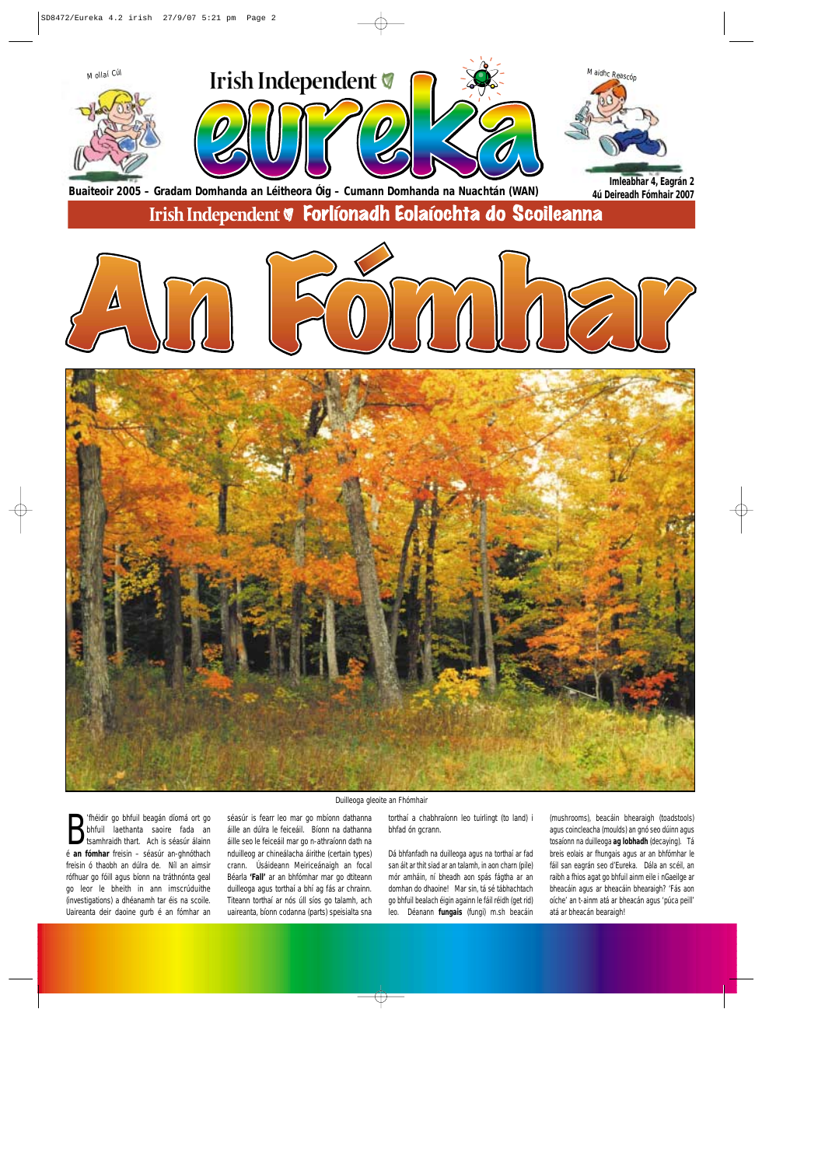**B** 'fhéidir go bhfuil beagán díomá ort go bhfuil laethanta saoire fada an tsamhraidh thart. Ach is séasúr álainn<br>É **an fómhar** freisin – séasúr an-ghnóthach 'fhéidir go bhfuil beagán díomá ort go bhfuil laethanta saoire fada an tsamhraidh thart. Ach is séasúr álainn freisin ó thaobh an dúlra de. Níl an aimsir rófhuar go fóill agus bíonn na tráthnónta geal go leor le bheith in ann imscrúduithe (investigations) a dhéanamh tar éis na scoile. Uaireanta deir daoine gurb é an fómhar an

séasúr is fearr leo mar go mbíonn dathanna áille an dúlra le feiceáil. Bíonn na dathanna áille seo le feiceáil mar go n-athraíonn dath na nduilleog ar chineálacha áirithe (certain types) crann. Úsáideann Meiriceánaigh an focal Béarla **'Fall'** ar an bhfómhar mar go dtiteann duilleoga agus torthaí a bhí ag fás ar chrainn. Titeann torthaí ar nós úll síos go talamh, ach uaireanta, bíonn codanna (parts) speisialta sna torthaí a chabhraíonn leo tuirlingt (to land) i bhfad ón gcrann.

Dá bhfanfadh na duilleoga agus na torthaí ar fad san áit ar thit siad ar an talamh, in aon charn (pile) mór amháin, ní bheadh aon spás fágtha ar an domhan do dhaoine! Mar sin, tá sé tábhachtach go bhfuil bealach éigin againn le fáil réidh (get rid) leo. Déanann **fungais** (fungi) m.sh beacáin

(mushrooms), beacáin bhearaigh (toadstools) agus coincleacha (moulds) an gnó seo dúinn agus tosaíonn na duilleoga **ag lobhadh** (decaying). Tá breis eolais ar fhungais agus ar an bhfómhar le fáil san eagrán seo d'Eureka. Dála an scéil, an raibh a fhios agat go bhfuil ainm eile i nGaeilge ar bheacáin agus ar bheacáin bhearaigh? 'Fás aon oíche' an t-ainm atá ar bheacán agus 'púca peill' atá ar bheacán bearaigh!



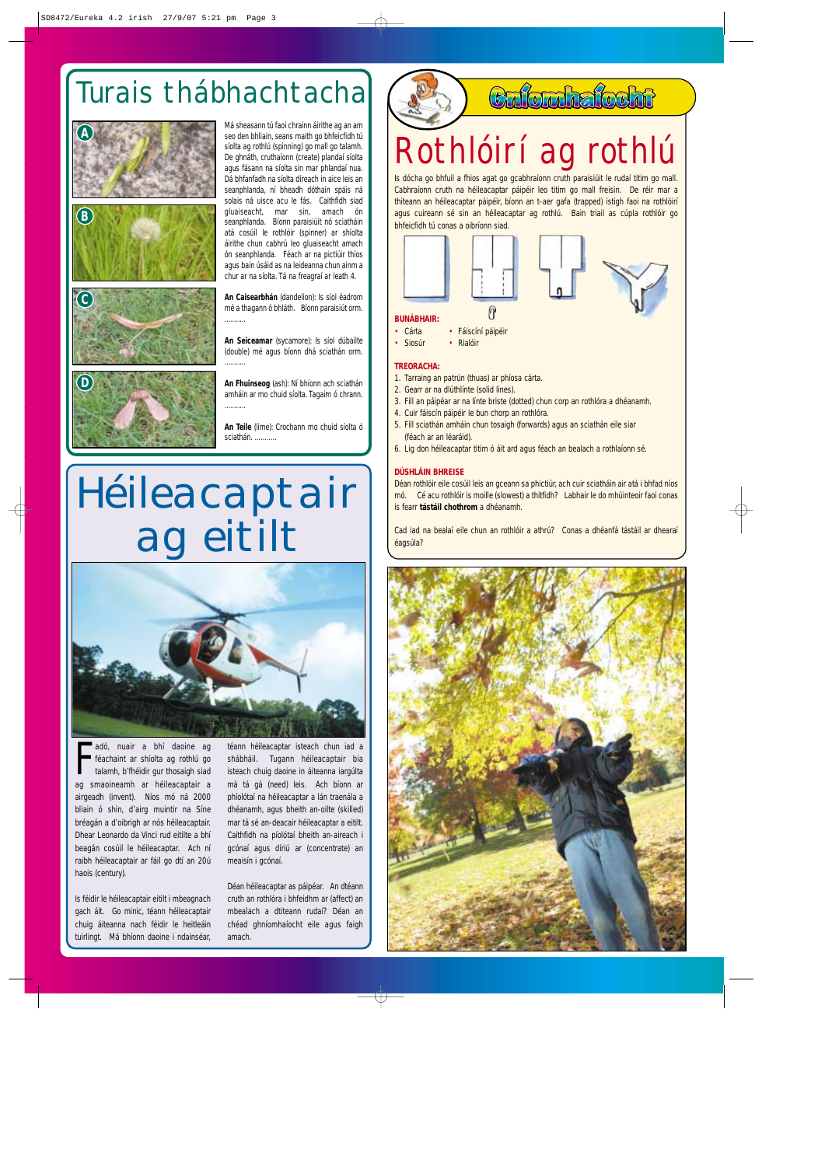

- Cárta Fáiscíní páipéir
- Siosúr Rialóir

#### **TREORACHA:**

- 1. Tarraing an patrún (thuas) ar phíosa cárta.
- 2. Gearr ar na dlúthlínte (solid lines).
- 3. Fill an páipéar ar na línte briste (dotted) chun corp an rothlóra a dhéanamh.
- 4. Cuir fáiscín páipéir le bun chorp an rothlóra.
- 5. Fill sciathán amháin chun tosaigh (forwards) agus an sciathán eile siar (féach ar an léaráid).
- 6. Lig don héileacaptar titim ó áit ard agus féach an bealach a rothlaíonn sé.

#### **DÚSHLÁIN BHREISE**

Déan rothlóir eile cosúil leis an gceann sa phictiúr, ach cuir sciatháin air atá i bhfad níos mó. Cé acu rothlóir is moille (slowest) a thitfidh? Labhair le do mhúinteoir faoi conas is fearr **tástáil chothrom** a dhéanamh.

adó, nuair a bhí daoine ag<br>féachaint ar shíolta ag rothlú go<br>talamh, b'fhéidir gur thosaigh siad<br>ag smaoineamh ar héileacaptair a adó, nuair a bhí daoine ag féachaint ar shíolta ag rothlú go talamh, b'fhéidir gur thosaigh siad airgeadh (invent). Níos mó ná 2000 bliain ó shin, d'airg muintir na Síne bréagán a d'oibrigh ar nós héileacaptair. Dhear Leonardo da Vinci rud eitilte a bhí beagán cosúil le héileacaptar. Ach ní raibh héileacaptair ar fáil go dtí an 20ú haois (century).

Cad iad na bealaí eile chun an rothlóir a athrú? Conas a dhéanfá tástáil ar dhearaí éagsúla?



## Rothlóirí ag rothlú

## Turais thábhachtacha

Is féidir le héileacaptair eitilt i mbeagnach gach áit. Go minic, téann héileacaptair chuig áiteanna nach féidir le heitleáin tuirlingt. Má bhíonn daoine i ndainséar,

**An Teile** (lime): Crochann mo chuid síolta ó sciathán.

téann héileacaptar isteach chun iad a shábháil. Tugann héileacaptair bia isteach chuig daoine in áiteanna iargúlta má tá gá (need) leis. Ach bíonn ar phíolótaí na héileacaptar a lán traenála a dhéanamh, agus bheith an-oilte (skilled) mar tá sé an-deacair héileacaptar a eitilt. Caithfidh na píolótaí bheith an-aireach i gcónaí agus díriú ar (concentrate) an meaisín i gcónaí.

### Culonhalocht

Déan héileacaptar as páipéar. An dtéann cruth an rothlóra i bhfeidhm ar (affect) an mbealach a dtiteann rudaí? Déan an chéad ghníomhaíocht eile agus faigh amach.

 $\forall$ 

# Héileacaptair ag eitilt

![](_page_2_Picture_11.jpeg)

Má sheasann tú faoi chrainn áirithe ag an am

seo den bhliain, seans maith go bhfeicfidh tú síolta ag rothlú (spinning) go mall go talamh. De ghnáth, cruthaíonn (create) plandaí síolta agus fásann na síolta sin mar phlandaí nua. Dá bhfanfadh na síolta díreach in aice leis an seanphlanda, ní bheadh dóthain spáis ná solais ná uisce acu le fás. Caithfidh siad gluaiseacht, mar sin, amach ón seanphlanda. Bíonn paraisiúit nó sciatháin atá cosúil le rothlóir (spinner) ar shíolta áirithe chun cabhrú leo gluaiseacht amach ón seanphlanda. Féach ar na pictiúir thíos agus bain úsáid as na leideanna chun ainm a chur ar na síolta. Tá na freagraí ar leath 4.

**An Caisearbhán** (dandelion): Is síol éadrom mé a thagann ó bhláth. Bíonn paraisiút orm. ...........

**An Seiceamar** (sycamore): Is síol dúbailte (double) mé agus bíonn dhá sciathán orm. ...........

**An Fhuinseog** (ash): Ní bhíonn ach sciathán amháin ar mo chuid síolta. Tagaim ó chrann. ...........

![](_page_2_Picture_2.jpeg)

![](_page_2_Picture_3.jpeg)

![](_page_2_Picture_4.jpeg)

**D**

Is dócha go bhfuil a fhios agat go gcabhraíonn cruth paraisiúit le rudaí titim go mall. Cabhraíonn cruth na héileacaptar páipéir leo titim go mall freisin. De réir mar a thiteann an héileacaptar páipéir, bíonn an t-aer gafa (trapped) istigh faoi na rothlóirí agus cuireann sé sin an héileacaptar ag rothlú. Bain triail as cúpla rothlóir go bhfeicfidh tú conas a oibríonn siad.